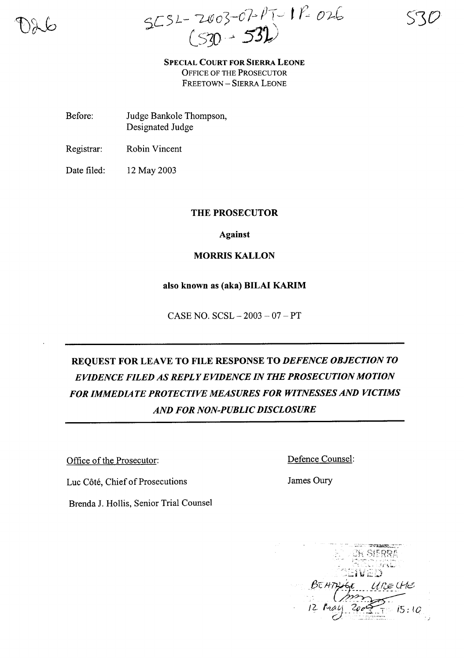$5252 - 2003 - 07 - 17 - 17 - 026$ <br>(530 - 532)

**SPECIAL COURT FOR SIERRA LEONE** OFFICE OF THE PROSECUTOR FREETOWN - SIERRA LEONE

- Before: Judge Bankole Thompson, Designated Judge
- Registrar: Robin Vincent

Date filed: 12 May 2003

## **THE PROSECUTOR**

**Against**

## **MORRIS KALLON**

#### **also known as (aka) BILAI KARIM**

CASE NO. SCSL - 2003 - 07 - **PT**

## **REQUEST FOR LEAVE TO FILE RESPONSE TO** *DEFENCE OBJECTION TO EVIDENCE FILED AS REPLYEVIDENCE IN THE PROSECUTION MOTION FOR IMMEDIATE PROTECTIVE MEASURES FOR WITNESSES AND VICTIMS AND FOR NON-PUBLIC DISCLOSURE*

Office of the Prosecutor:

Defence Counsel:

Luc Cote, Chief of Prosecutions

Brenda 1. Hollis, Senior Trial Counsel

James Oury

Company of the company of the company of the company of the company of the company of r: ! 1"·-· • ~'" "- <sup>&</sup>lt;' r-·~.t So. ~~] # ## #31 \$11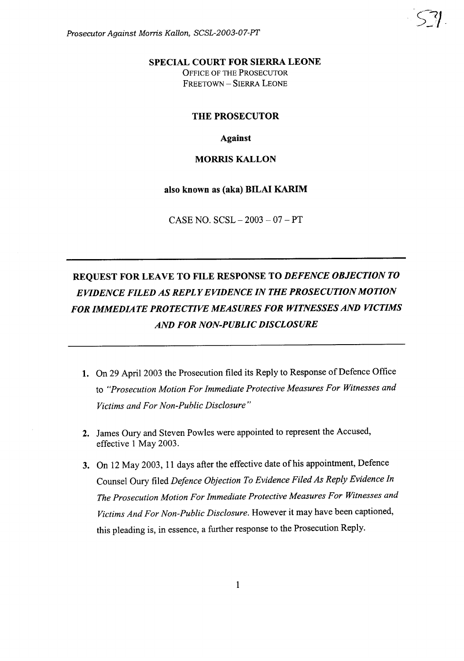Prosecutor Against Morris Kallon, SCSL-2003-07-PT

## **SPECIAL COURT FOR SIERRA LEONE** OFFICE OF THE PROSECUTOR FREETOWN - SIERRA LEONE

## **THE PROSECUTOR**

#### **Against**

#### **MORRIS KALLON**

#### **also known as (aka) HILAI KARIM**

CASE NO. SCSL - 2003 - 07 - **PT**

# **REQUEST FOR LEAVE TO FILE RESPONSE TO** *DEFENCE OBJECTION TO EVIDENCE FILED AS REPLYEVIDENCE IN THE PROSECUTION MOTION FOR IMMEDIATE PROTECTIVE MEASURES FOR WITNESSES AND VICTIMS AND FOR NON-PUBLIC DISCLOSURE*

- 1. On 29 April 2003 the Prosecution filed its Reply to Response of Defence Office to *"Prosecution Motion For Immediate Protective Measures For Witnesses and Victims and For Non-Public Disclosure"*
- **2.** James Oury and Steven Powles were appointed to represent the Accused, effective 1 May 2003.
- **3.** On 12 May 2003, 11 days after the effective date of his appointment, Defence Counsel Oury filed *Defence Objection To Evidence Filed As Reply Evidence In The Prosecution Motion For Immediate Protective Measures For Witnesses and Victims And For Non-Public Disclosure.* However it may have been captioned, this pleading is, in essence, a further response to the Prosecution Reply.